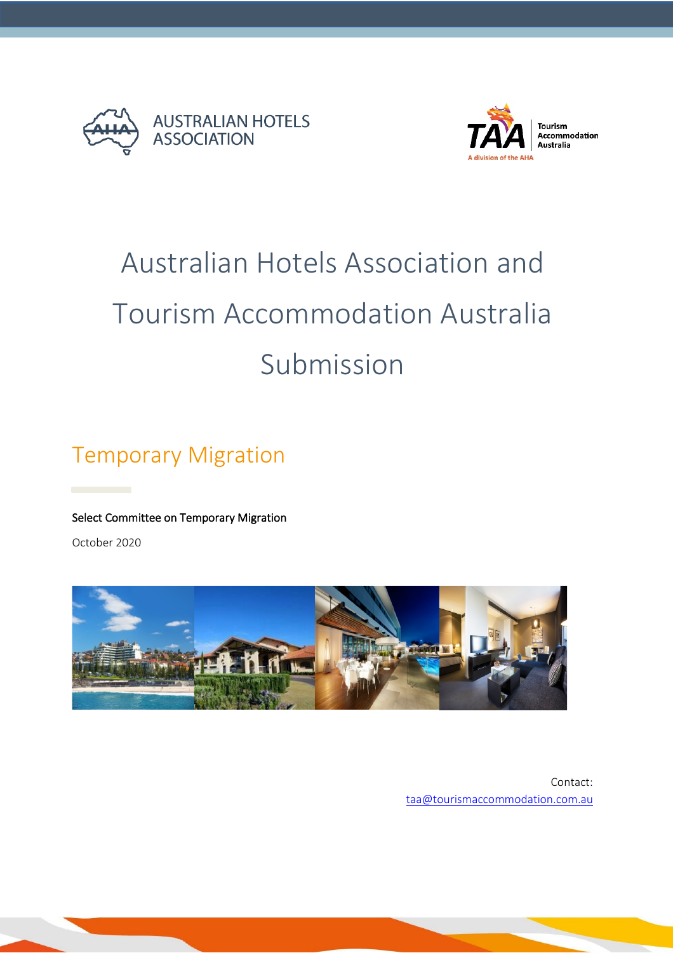



### **Tourism<br>Accommodation** Australia

# Australian Hotels Association and Tourism Accommodation Australia Submission

# Temporary Migration

#### Select Committee on Temporary Migration

October 2020



Contact: [taa@tourismaccommodation.com.au](mailto:taa@tourismaccommodation.com.au)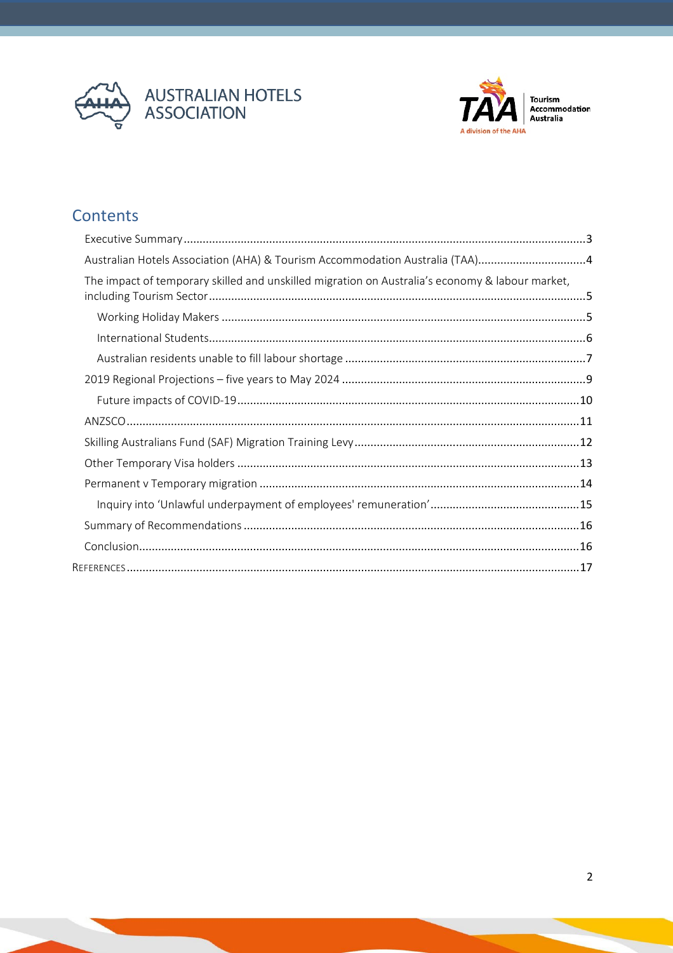



Tourism<br>Accommodation<br>Australia

# Contents

| Australian Hotels Association (AHA) & Tourism Accommodation Australia (TAA)4                    |  |
|-------------------------------------------------------------------------------------------------|--|
| The impact of temporary skilled and unskilled migration on Australia's economy & labour market, |  |
|                                                                                                 |  |
|                                                                                                 |  |
|                                                                                                 |  |
|                                                                                                 |  |
|                                                                                                 |  |
|                                                                                                 |  |
|                                                                                                 |  |
|                                                                                                 |  |
|                                                                                                 |  |
|                                                                                                 |  |
|                                                                                                 |  |
|                                                                                                 |  |
|                                                                                                 |  |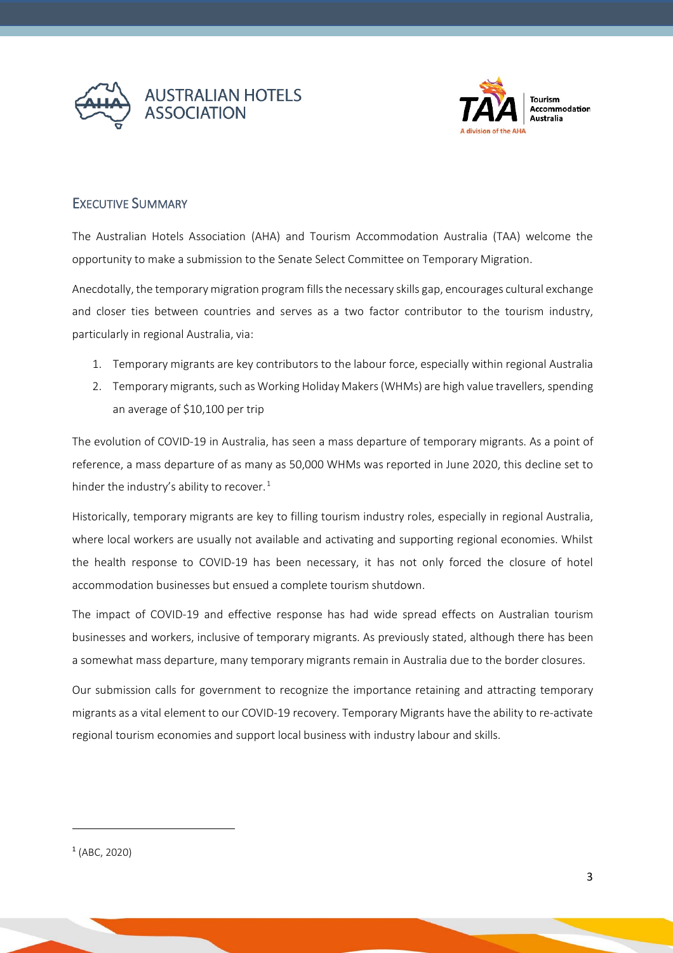



#### <span id="page-2-0"></span>EXECUTIVE SUMMARY

The Australian Hotels Association (AHA) and Tourism Accommodation Australia (TAA) welcome the opportunity to make a submission to the Senate Select Committee on Temporary Migration.

Anecdotally, the temporary migration program fills the necessary skills gap, encourages cultural exchange and closer ties between countries and serves as a two factor contributor to the tourism industry, particularly in regional Australia, via:

- 1. Temporary migrants are key contributors to the labour force, especially within regional Australia
- 2. Temporary migrants, such as Working Holiday Makers(WHMs) are high value travellers, spending an average of \$10,100 per trip

The evolution of COVID-19 in Australia, has seen a mass departure of temporary migrants. As a point of reference, a mass departure of as many as 50,000 WHMs was reported in June 2020, this decline set to hinder the industry's ability to recover.<sup>[1](#page-2-1)</sup>

Historically, temporary migrants are key to filling tourism industry roles, especially in regional Australia, where local workers are usually not available and activating and supporting regional economies. Whilst the health response to COVID-19 has been necessary, it has not only forced the closure of hotel accommodation businesses but ensued a complete tourism shutdown.

The impact of COVID-19 and effective response has had wide spread effects on Australian tourism businesses and workers, inclusive of temporary migrants. As previously stated, although there has been a somewhat mass departure, many temporary migrants remain in Australia due to the border closures.

Our submission calls for government to recognize the importance retaining and attracting temporary migrants as a vital element to our COVID-19 recovery. Temporary Migrants have the ability to re-activate regional tourism economies and support local business with industry labour and skills.

<span id="page-2-1"></span><sup>1</sup> (ABC, 2020)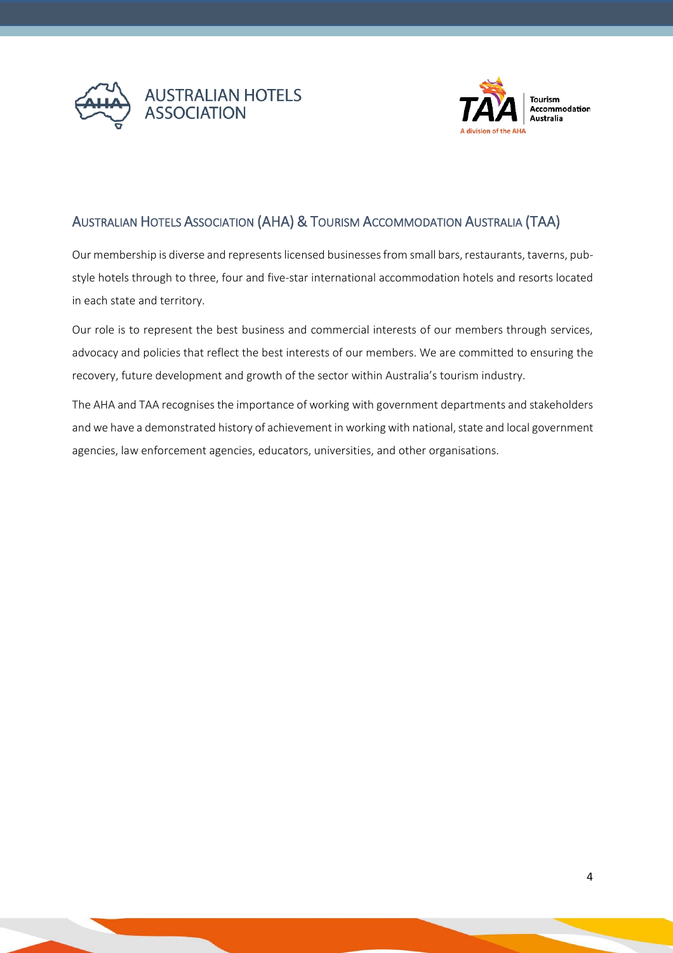



# <span id="page-3-0"></span>AUSTRALIAN HOTELS ASSOCIATION (AHA) & TOURISM ACCOMMODATION AUSTRALIA (TAA)

Our membership is diverse and represents licensed businesses from small bars, restaurants, taverns, pubstyle hotels through to three, four and five-star international accommodation hotels and resorts located in each state and territory.

Our role is to represent the best business and commercial interests of our members through services, advocacy and policies that reflect the best interests of our members. We are committed to ensuring the recovery, future development and growth of the sector within Australia's tourism industry.

The AHA and TAA recognises the importance of working with government departments and stakeholders and we have a demonstrated history of achievement in working with national, state and local government agencies, law enforcement agencies, educators, universities, and other organisations.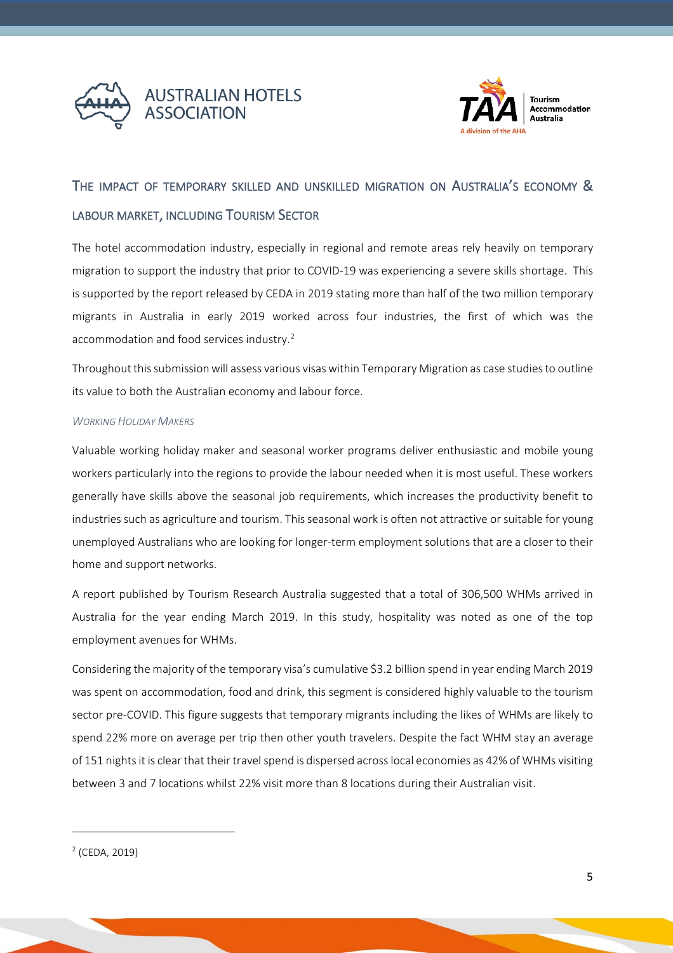



# <span id="page-4-0"></span>THE IMPACT OF TEMPORARY SKILLED AND UNSKILLED MIGRATION ON AUSTRALIA'S ECONOMY & LABOUR MARKET, INCLUDING TOURISM SECTOR

The hotel accommodation industry, especially in regional and remote areas rely heavily on temporary migration to support the industry that prior to COVID-19 was experiencing a severe skills shortage. This is supported by the report released by CEDA in 2019 stating more than half of the two million temporary migrants in Australia in early 2019 worked across four industries, the first of which was the accommodation and food services industry.<sup>[2](#page-4-2)</sup>

Throughout this submission will assess various visas within Temporary Migration as case studiesto outline its value to both the Australian economy and labour force.

#### <span id="page-4-1"></span>*WORKING HOLIDAY MAKERS*

Valuable working holiday maker and seasonal worker programs deliver enthusiastic and mobile young workers particularly into the regions to provide the labour needed when it is most useful. These workers generally have skills above the seasonal job requirements, which increases the productivity benefit to industries such as agriculture and tourism. This seasonal work is often not attractive or suitable for young unemployed Australians who are looking for longer-term employment solutions that are a closer to their home and support networks.

A report published by Tourism Research Australia suggested that a total of 306,500 WHMs arrived in Australia for the year ending March 2019. In this study, hospitality was noted as one of the top employment avenues for WHMs.

Considering the majority of the temporary visa's cumulative \$3.2 billion spend in year ending March 2019 was spent on accommodation, food and drink, this segment is considered highly valuable to the tourism sector pre-COVID. This figure suggests that temporary migrants including the likes of WHMs are likely to spend 22% more on average per trip then other youth travelers. Despite the fact WHM stay an average of 151 nights it is clear that their travel spend is dispersed across local economies as 42% of WHMs visiting between 3 and 7 locations whilst 22% visit more than 8 locations during their Australian visit.

<span id="page-4-2"></span><sup>2</sup> (CEDA, 2019)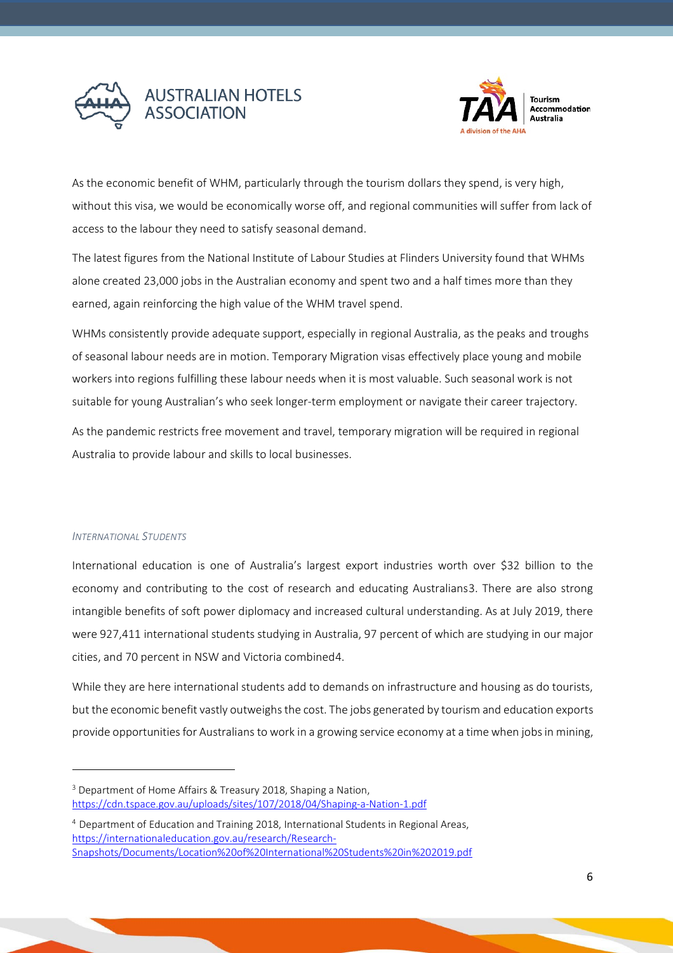



As the economic benefit of WHM, particularly through the tourism dollars they spend, is very high, without this visa, we would be economically worse off, and regional communities will suffer from lack of access to the labour they need to satisfy seasonal demand.

The latest figures from the National Institute of Labour Studies at Flinders University found that WHMs alone created 23,000 jobs in the Australian economy and spent two and a half times more than they earned, again reinforcing the high value of the WHM travel spend.

WHMs consistently provide adequate support, especially in regional Australia, as the peaks and troughs of seasonal labour needs are in motion. Temporary Migration visas effectively place young and mobile workers into regions fulfilling these labour needs when it is most valuable. Such seasonal work is not suitable for young Australian's who seek longer-term employment or navigate their career trajectory.

As the pandemic restricts free movement and travel, temporary migration will be required in regional Australia to provide labour and skills to local businesses.

#### <span id="page-5-0"></span>*INTERNATIONAL STUDENTS*

International education is one of Australia's largest export industries worth over \$32 billion to the economy and contributing to the cost of research and educating Australians[3.](#page-5-1) There are also strong intangible benefits of soft power diplomacy and increased cultural understanding. As at July 2019, there were 927,411 international students studying in Australia, 97 percent of which are studying in our major cities, and 70 percent in NSW and Victoria combine[d4.](#page-5-2)

While they are here international students add to demands on infrastructure and housing as do tourists, but the economic benefit vastly outweighs the cost. The jobs generated by tourism and education exports provide opportunities for Australians to work in a growing service economy at a time when jobs in mining,

<span id="page-5-1"></span><sup>&</sup>lt;sup>3</sup> Department of Home Affairs & Treasury 2018, Shaping a Nation, <https://cdn.tspace.gov.au/uploads/sites/107/2018/04/Shaping-a-Nation-1.pdf>

<span id="page-5-2"></span><sup>4</sup> Department of Education and Training 2018, International Students in Regional Areas, https://internationaleducation.gov.au/research/Research-Snapshots/Documents/Location%20of%20International%20Students%20in%202019.pdf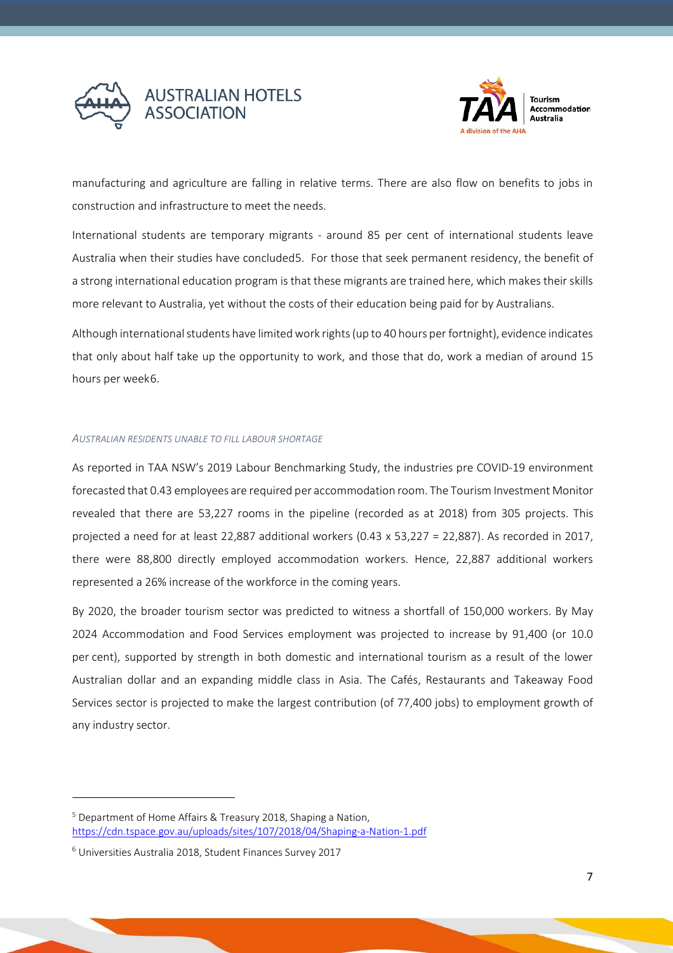



manufacturing and agriculture are falling in relative terms. There are also flow on benefits to jobs in construction and infrastructure to meet the needs.

International students are temporary migrants - around 85 per cent of international students leave Australia when their studies have concluded[5.](#page-6-1) For those that seek permanent residency, the benefit of a strong international education program is that these migrants are trained here, which makes their skills more relevant to Australia, yet without the costs of their education being paid for by Australians.

Although international students have limited work rights (up to 40 hours per fortnight), evidence indicates that only about half take up the opportunity to work, and those that do, work a median of around 15 hours per week[6](#page-6-2).

#### <span id="page-6-0"></span>*AUSTRALIAN RESIDENTS UNABLE TO FILL LABOUR SHORTAGE*

As reported in TAA NSW's 2019 Labour Benchmarking Study, the industries pre COVID-19 environment forecasted that 0.43 employees are required per accommodation room. The Tourism Investment Monitor revealed that there are 53,227 rooms in the pipeline (recorded as at 2018) from 305 projects. This projected a need for at least 22,887 additional workers (0.43 x 53,227 = 22,887). As recorded in 2017, there were 88,800 directly employed accommodation workers. Hence, 22,887 additional workers represented a 26% increase of the workforce in the coming years.

By 2020, the broader tourism sector was predicted to witness a shortfall of 150,000 workers. By May 2024 Accommodation and Food Services employment was projected to increase by 91,400 (or 10.0 per cent), supported by strength in both domestic and international tourism as a result of the lower Australian dollar and an expanding middle class in Asia. The Cafés, Restaurants and Takeaway Food Services sector is projected to make the largest contribution (of 77,400 jobs) to employment growth of any industry sector.

<span id="page-6-1"></span><sup>5</sup> Department of Home Affairs & Treasury 2018, Shaping a Nation, <https://cdn.tspace.gov.au/uploads/sites/107/2018/04/Shaping-a-Nation-1.pdf>

<span id="page-6-2"></span><sup>6</sup> Universities Australia 2018, Student Finances Survey 2017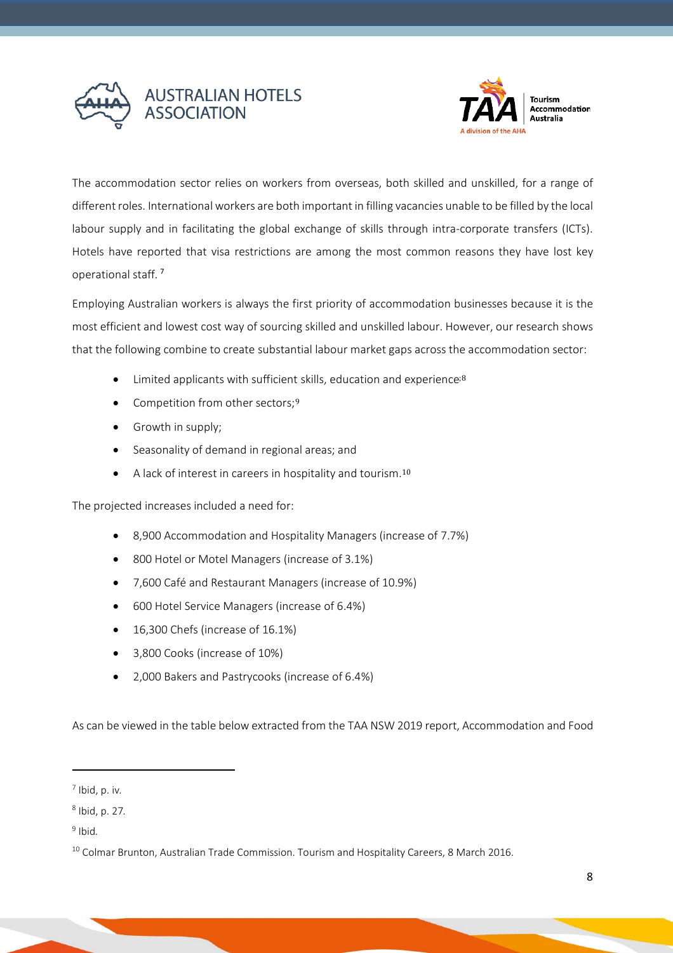



The accommodation sector relies on workers from overseas, both skilled and unskilled, for a range of different roles. International workers are both important in filling vacancies unable to be filled by the local labour supply and in facilitating the global exchange of skills through intra-corporate transfers (ICTs). Hotels have reported that visa restrictions are among the most common reasons they have lost key operational staff. [7](#page-7-0)

Employing Australian workers is always the first priority of accommodation businesses because it is the most efficient and lowest cost way of sourcing skilled and unskilled labour. However, our research shows that the following combine to create substantial labour market gaps across the accommodation sector:

- Limited applicants with sufficient skills, education and experience<sup>[;8](#page-7-1)</sup>
- Competition from other sectors;[9](#page-7-2)
- Growth in supply;
- Seasonality of demand in regional areas; and
- A lack of interest in careers in hospitality and tourism.<sup>[10](#page-7-3)</sup>

The projected increases included a need for:

- 8,900 Accommodation and Hospitality Managers (increase of 7.7%)
- 800 Hotel or Motel Managers (increase of 3.1%)
- 7,600 Café and Restaurant Managers (increase of 10.9%)
- 600 Hotel Service Managers (increase of 6.4%)
- 16,300 Chefs (increase of 16.1%)
- 3,800 Cooks (increase of 10%)
- 2,000 Bakers and Pastrycooks (increase of 6.4%)

As can be viewed in the table below extracted from the TAA NSW 2019 report, Accommodation and Food

<span id="page-7-0"></span><sup>7</sup> Ibid, p. iv*.*

<span id="page-7-1"></span><sup>8</sup> Ibid, p. 27*.*

<span id="page-7-2"></span><sup>9</sup> Ibid*.*

<span id="page-7-3"></span><sup>&</sup>lt;sup>10</sup> Colmar Brunton, Australian Trade Commission. Tourism and Hospitality Careers, 8 March 2016.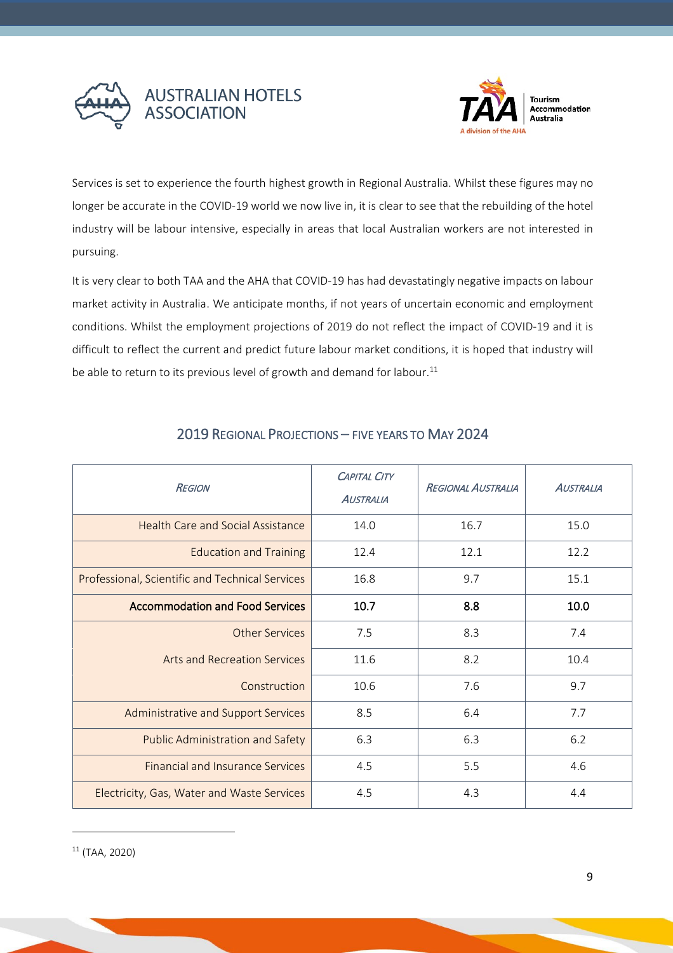



Services is set to experience the fourth highest growth in Regional Australia. Whilst these figures may no longer be accurate in the COVID-19 world we now live in, it is clear to see that the rebuilding of the hotel industry will be labour intensive, especially in areas that local Australian workers are not interested in pursuing.

It is very clear to both TAA and the AHA that COVID-19 has had devastatingly negative impacts on labour market activity in Australia. We anticipate months, if not years of uncertain economic and employment conditions. Whilst the employment projections of 2019 do not reflect the impact of COVID-19 and it is difficult to reflect the current and predict future labour market conditions, it is hoped that industry will be able to return to its previous level of growth and demand for labour. $^{11}$  $^{11}$  $^{11}$ 

<span id="page-8-0"></span>

| <b>REGION</b>                                   | <b>CAPITAL CITY</b><br><b>AUSTRALIA</b> | <b>REGIONAL AUSTRALIA</b> | <b>AUSTRALIA</b> |
|-------------------------------------------------|-----------------------------------------|---------------------------|------------------|
| Health Care and Social Assistance               | 14.0                                    | 16.7                      | 15.0             |
| <b>Education and Training</b>                   | 12.4                                    | 12.1                      | 12.2             |
| Professional, Scientific and Technical Services | 16.8                                    | 9.7                       | 15.1             |
| <b>Accommodation and Food Services</b>          | 10.7                                    | 8.8                       | 10.0             |
| Other Services                                  | 7.5                                     | 8.3                       | 7.4              |
| <b>Arts and Recreation Services</b>             | 11.6                                    | 8.2                       | 10.4             |
| Construction                                    | 10.6                                    | 7.6                       | 9.7              |
| Administrative and Support Services             | 8.5                                     | 6.4                       | 7.7              |
| <b>Public Administration and Safety</b>         | 6.3                                     | 6.3                       | 6.2              |
| <b>Financial and Insurance Services</b>         | 4.5                                     | 5.5                       | 4.6              |
| Electricity, Gas, Water and Waste Services      | 4.5                                     | 4.3                       | 4.4              |

## 2019 REGIONAL PROJECTIONS – FIVE YEARS TO MAY 2024

<span id="page-8-1"></span><sup>11</sup> (TAA, 2020)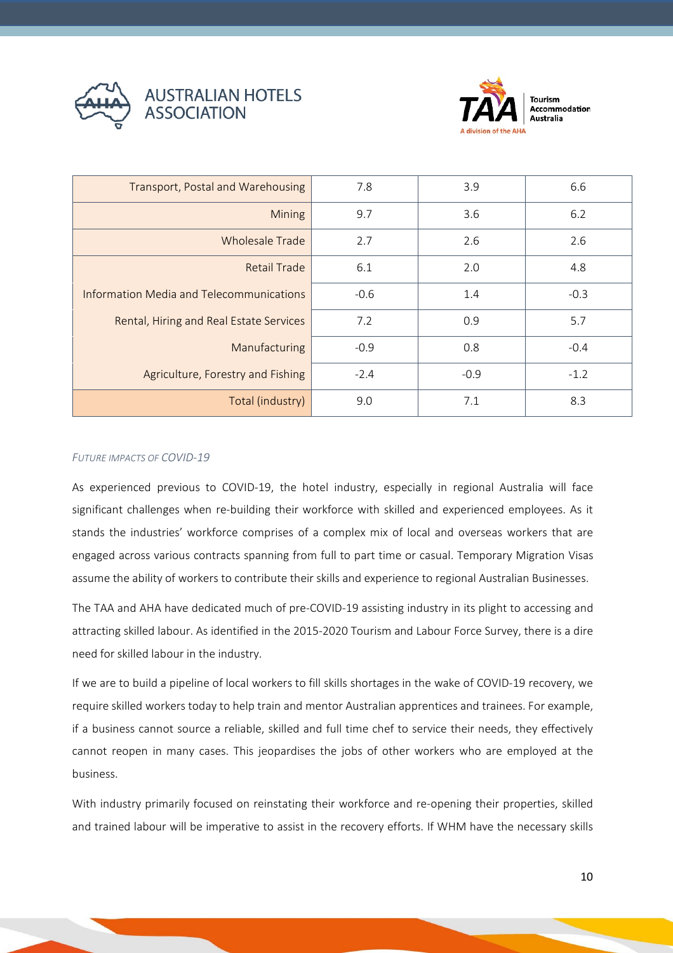



**Tourism** Accommodation **Australia** 

| Transport, Postal and Warehousing        | 7.8    | 3.9    | 6.6    |
|------------------------------------------|--------|--------|--------|
| <b>Mining</b>                            | 9.7    | 3.6    | 6.2    |
| <b>Wholesale Trade</b>                   | 2.7    | 2.6    | 2.6    |
| <b>Retail Trade</b>                      | 6.1    | 2.0    | 4.8    |
| Information Media and Telecommunications | $-0.6$ | 1.4    | $-0.3$ |
| Rental, Hiring and Real Estate Services  | 7.2    | 0.9    | 5.7    |
| Manufacturing                            | $-0.9$ | 0.8    | $-0.4$ |
| Agriculture, Forestry and Fishing        | $-2.4$ | $-0.9$ | $-1.2$ |
| Total (industry)                         | 9.0    | 7.1    | 8.3    |

#### <span id="page-9-0"></span>*FUTURE IMPACTS OF COVID-19*

As experienced previous to COVID-19, the hotel industry, especially in regional Australia will face significant challenges when re-building their workforce with skilled and experienced employees. As it stands the industries' workforce comprises of a complex mix of local and overseas workers that are engaged across various contracts spanning from full to part time or casual. Temporary Migration Visas assume the ability of workers to contribute their skills and experience to regional Australian Businesses.

The TAA and AHA have dedicated much of pre-COVID-19 assisting industry in its plight to accessing and attracting skilled labour. As identified in the 2015-2020 Tourism and Labour Force Survey, there is a dire need for skilled labour in the industry.

If we are to build a pipeline of local workers to fill skills shortages in the wake of COVID-19 recovery, we require skilled workers today to help train and mentor Australian apprentices and trainees. For example, if a business cannot source a reliable, skilled and full time chef to service their needs, they effectively cannot reopen in many cases. This jeopardises the jobs of other workers who are employed at the business.

With industry primarily focused on reinstating their workforce and re-opening their properties, skilled and trained labour will be imperative to assist in the recovery efforts. If WHM have the necessary skills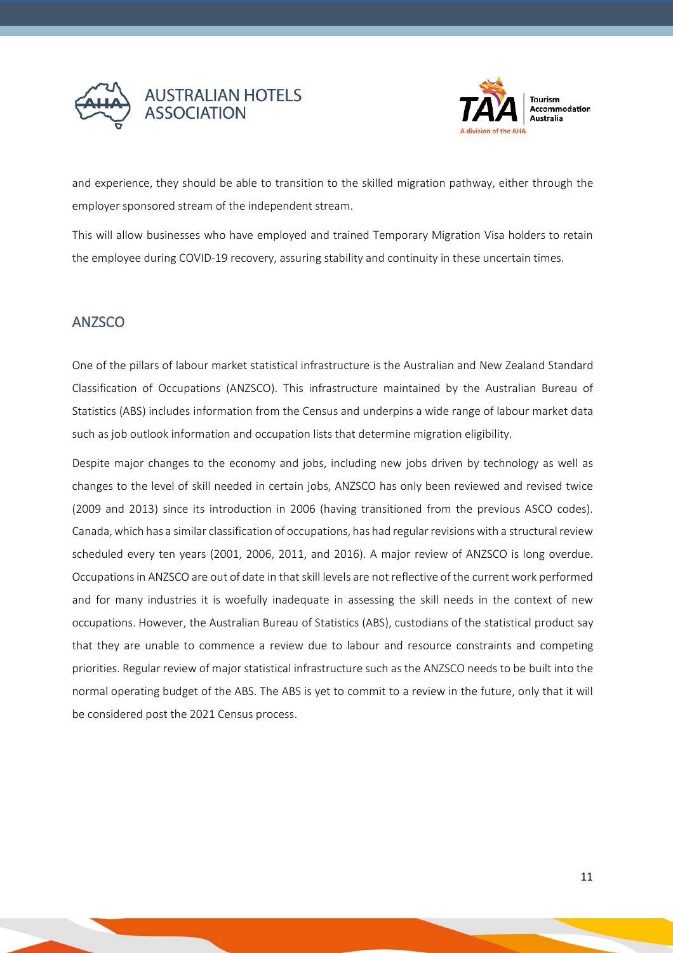



and experience, they should be able to transition to the skilled migration pathway, either through the employer sponsored stream of the independent stream.

This will allow businesses who have employed and trained Temporary Migration Visa holders to retain the employee during COVID-19 recovery, assuring stability and continuity in these uncertain times.

## <span id="page-10-0"></span>**ANZSCO**

One of the pillars of labour market statistical infrastructure is the Australian and New Zealand Standard Classification of Occupations (ANZSCO). This infrastructure maintained by the Australian Bureau of Statistics (ABS) includes information from the Census and underpins a wide range of labour market data such as job outlook information and occupation lists that determine migration eligibility.

Despite major changes to the economy and jobs, including new jobs driven by technology as well as changes to the level of skill needed in certain jobs, ANZSCO has only been reviewed and revised twice (2009 and 2013) since its introduction in 2006 (having transitioned from the previous ASCO codes). Canada, which has a similar classification of occupations, has had regular revisions with a structural review scheduled every ten years (2001, 2006, 2011, and 2016). A major review of ANZSCO is long overdue. Occupations in ANZSCO are out of date in that skill levels are not reflective of the current work performed and for many industries it is woefully inadequate in assessing the skill needs in the context of new occupations. However, the Australian Bureau of Statistics (ABS), custodians of the statistical product say that they are unable to commence a review due to labour and resource constraints and competing priorities. Regular review of major statistical infrastructure such as the ANZSCO needs to be built into the normal operating budget of the ABS. The ABS is yet to commit to a review in the future, only that it will be considered post the 2021 Census process.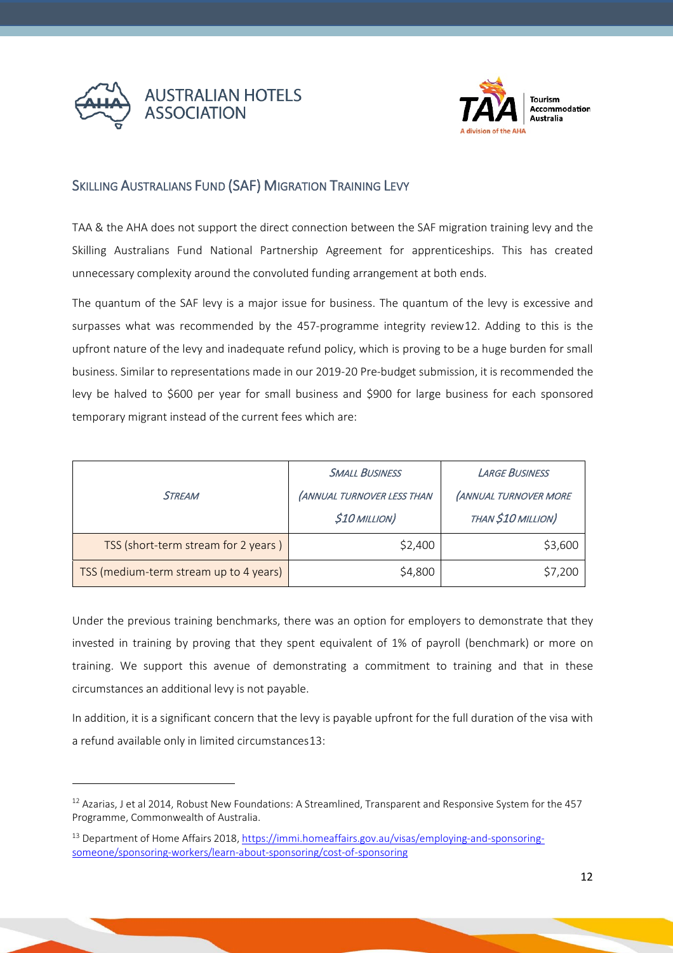



### <span id="page-11-0"></span>SKILLING AUSTRALIANS FUND (SAF) MIGRATION TRAINING LEVY

TAA & the AHA does not support the direct connection between the SAF migration training levy and the Skilling Australians Fund National Partnership Agreement for apprenticeships. This has created unnecessary complexity around the convoluted funding arrangement at both ends.

The quantum of the SAF levy is a major issue for business. The quantum of the levy is excessive and surpasses what was recommended by the 457-programme integrity review[12.](#page-11-1) Adding to this is the upfront nature of the levy and inadequate refund policy, which is proving to be a huge burden for small business. Similar to representations made in our 2019-20 Pre-budget submission, it is recommended the levy be halved to \$600 per year for small business and \$900 for large business for each sponsored temporary migrant instead of the current fees which are:

|                                        | <b>SMALL BUSINESS</b>      | <b>LARGE BUSINESS</b>        |  |
|----------------------------------------|----------------------------|------------------------------|--|
| <b>STREAM</b>                          | (ANNUAL TURNOVER LESS THAN | <b>(ANNUAL TURNOVER MORE</b> |  |
|                                        | <b>\$10 MILLION)</b>       | THAN \$10 MILLION)           |  |
| TSS (short-term stream for 2 years)    | \$2,400                    | \$3,600                      |  |
| TSS (medium-term stream up to 4 years) | \$4,800                    | \$7,200                      |  |

Under the previous training benchmarks, there was an option for employers to demonstrate that they invested in training by proving that they spent equivalent of 1% of payroll (benchmark) or more on training. We support this avenue of demonstrating a commitment to training and that in these circumstances an additional levy is not payable.

In addition, it is a significant concern that the levy is payable upfront for the full duration of the visa with a refund available only in limited circumstances[13:](#page-11-2)

<span id="page-11-1"></span><sup>12</sup> Azarias, J et al 2014, Robust New Foundations: A Streamlined, Transparent and Responsive System for the 457 Programme, Commonwealth of Australia.

<span id="page-11-2"></span><sup>&</sup>lt;sup>13</sup> Department of Home Affairs 2018, [https://immi.homeaffairs.gov.au/visas/employing-and-sponsoring](https://immi.homeaffairs.gov.au/visas/employing-and-sponsoring-someone/sponsoring-workers/learn-about-sponsoring/cost-of-sponsoring)[someone/sponsoring-workers/learn-about-sponsoring/cost-of-sponsoring](https://immi.homeaffairs.gov.au/visas/employing-and-sponsoring-someone/sponsoring-workers/learn-about-sponsoring/cost-of-sponsoring)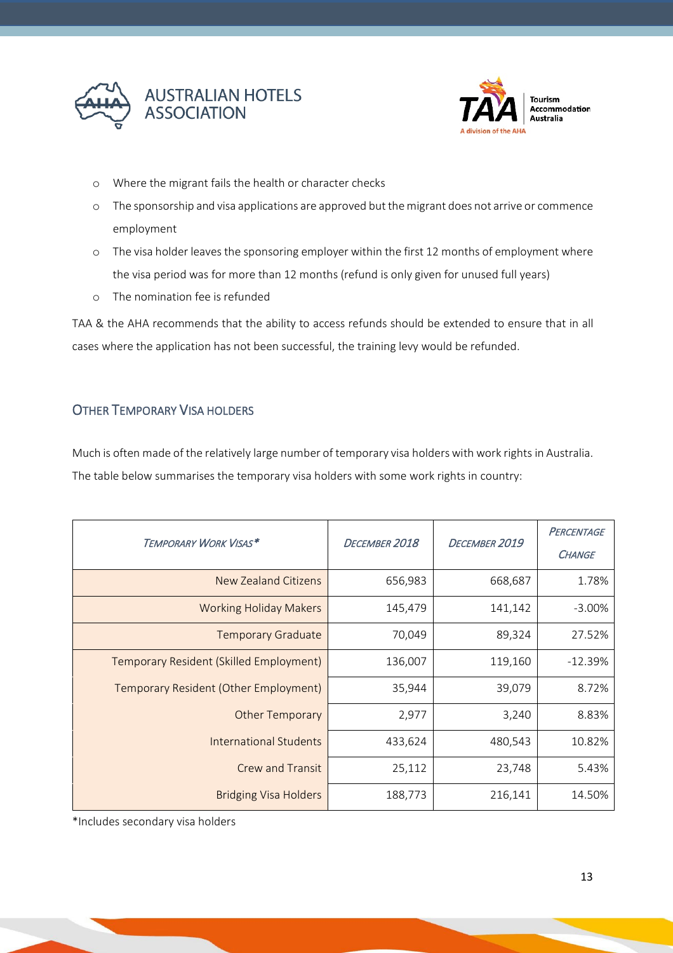



- o Where the migrant fails the health or character checks
- o The sponsorship and visa applications are approved but the migrant does not arrive or commence employment
- o The visa holder leaves the sponsoring employer within the first 12 months of employment where the visa period was for more than 12 months (refund is only given for unused full years)
- o The nomination fee is refunded

TAA & the AHA recommends that the ability to access refunds should be extended to ensure that in all cases where the application has not been successful, the training levy would be refunded.

## <span id="page-12-0"></span>OTHER TEMPORARY VISA HOLDERS

Much is often made of the relatively large number of temporary visa holders with work rights in Australia. The table below summarises the temporary visa holders with some work rights in country:

| TEMPORARY WORK VISAS*                   | DECEMBER 2018 | DECEMBER 2019 | PERCENTAGE<br><b>CHANGE</b> |
|-----------------------------------------|---------------|---------------|-----------------------------|
| <b>New Zealand Citizens</b>             | 656,983       | 668,687       | 1.78%                       |
| <b>Working Holiday Makers</b>           | 145,479       | 141,142       | $-3.00\%$                   |
| <b>Temporary Graduate</b>               | 70,049        | 89,324        | 27.52%                      |
| Temporary Resident (Skilled Employment) | 136,007       | 119,160       | $-12.39%$                   |
| Temporary Resident (Other Employment)   | 35,944        | 39,079        | 8.72%                       |
| <b>Other Temporary</b>                  | 2,977         | 3,240         | 8.83%                       |
| International Students                  | 433,624       | 480,543       | 10.82%                      |
| <b>Crew and Transit</b>                 | 25,112        | 23,748        | 5.43%                       |
| <b>Bridging Visa Holders</b>            | 188,773       | 216,141       | 14.50%                      |

\*Includes secondary visa holders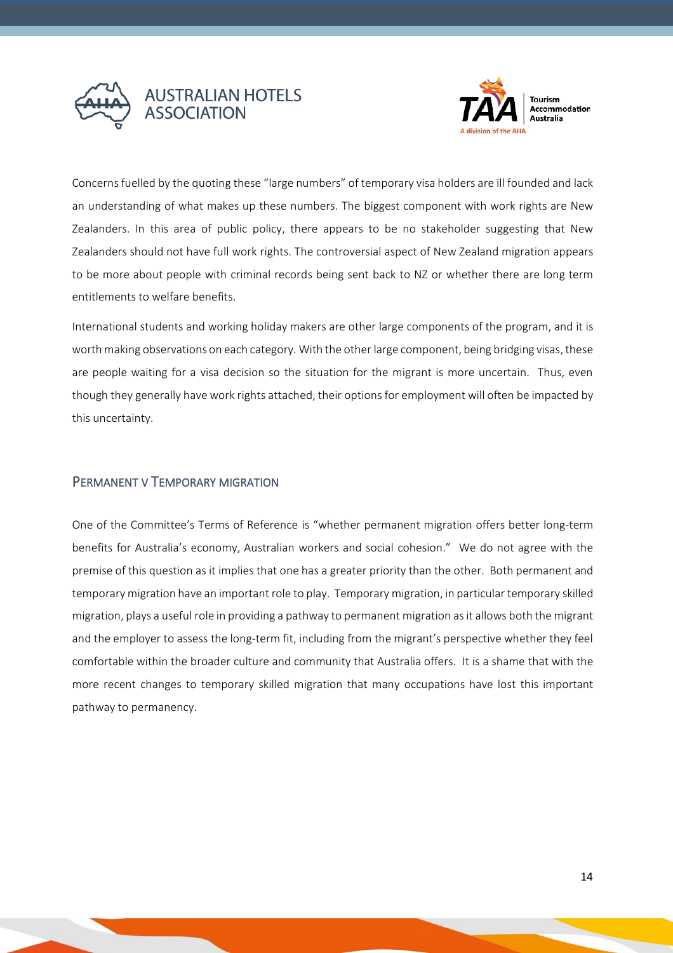



Tourism Accommodation Australia

Concerns fuelled by the quoting these "large numbers" of temporary visa holders are ill founded and lack an understanding of what makes up these numbers. The biggest component with work rights are New Zealanders. In this area of public policy, there appears to be no stakeholder suggesting that New Zealanders should not have full work rights. The controversial aspect of New Zealand migration appears to be more about people with criminal records being sent back to NZ or whether there are long term entitlements to welfare benefits.

International students and working holiday makers are other large components of the program, and it is worth making observations on each category. With the other large component, being bridging visas, these are people waiting for a visa decision so the situation for the migrant is more uncertain. Thus, even though they generally have work rights attached, their options for employment will often be impacted by this uncertainty.

#### <span id="page-13-0"></span>PERMANENT V TEMPORARY MIGRATION

One of the Committee's Terms of Reference is "whether permanent migration offers better long-term benefits for Australia's economy, Australian workers and social cohesion." We do not agree with the premise of this question as it implies that one has a greater priority than the other. Both permanent and temporary migration have an important role to play. Temporary migration, in particular temporary skilled migration, plays a useful role in providing a pathway to permanent migration as it allows both the migrant and the employer to assess the long-term fit, including from the migrant's perspective whether they feel comfortable within the broader culture and community that Australia offers. It is a shame that with the more recent changes to temporary skilled migration that many occupations have lost this important pathway to permanency.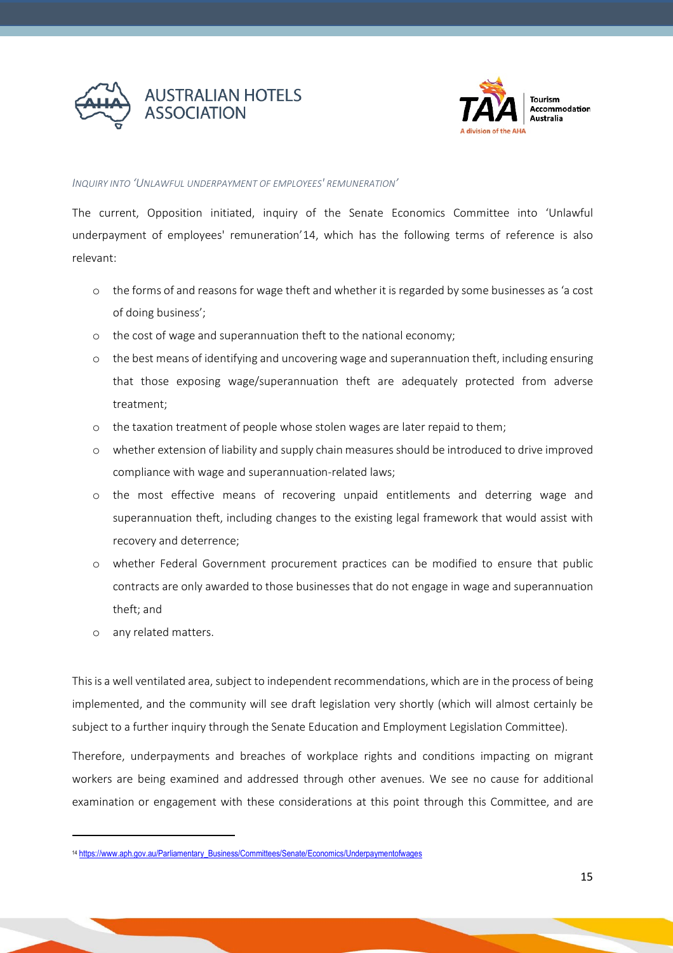



#### <span id="page-14-0"></span>*INQUIRY INTO 'UNLAWFUL UNDERPAYMENT OF EMPLOYEES' REMUNERATION'*

The current, Opposition initiated, inquiry of the Senate Economics Committee into 'Unlawful underpayment of employees' remuneration'[14,](#page-14-1) which has the following terms of reference is also relevant:

- o the forms of and reasons for wage theft and whether it is regarded by some businesses as 'a cost of doing business';
- o the cost of wage and superannuation theft to the national economy;
- o the best means of identifying and uncovering wage and superannuation theft, including ensuring that those exposing wage/superannuation theft are adequately protected from adverse treatment;
- o the taxation treatment of people whose stolen wages are later repaid to them;
- o whether extension of liability and supply chain measures should be introduced to drive improved compliance with wage and superannuation-related laws;
- o the most effective means of recovering unpaid entitlements and deterring wage and superannuation theft, including changes to the existing legal framework that would assist with recovery and deterrence;
- o whether Federal Government procurement practices can be modified to ensure that public contracts are only awarded to those businesses that do not engage in wage and superannuation theft; and
- o any related matters.

This is a well ventilated area, subject to independent recommendations, which are in the process of being implemented, and the community will see draft legislation very shortly (which will almost certainly be subject to a further inquiry through the Senate Education and Employment Legislation Committee).

Therefore, underpayments and breaches of workplace rights and conditions impacting on migrant workers are being examined and addressed through other avenues. We see no cause for additional examination or engagement with these considerations at this point through this Committee, and are

<span id="page-14-1"></span><sup>14</sup> [https://www.aph.gov.au/Parliamentary\\_Business/Committees/Senate/Economics/Underpaymentofwages](https://www.aph.gov.au/Parliamentary_Business/Committees/Senate/Economics/Underpaymentofwages)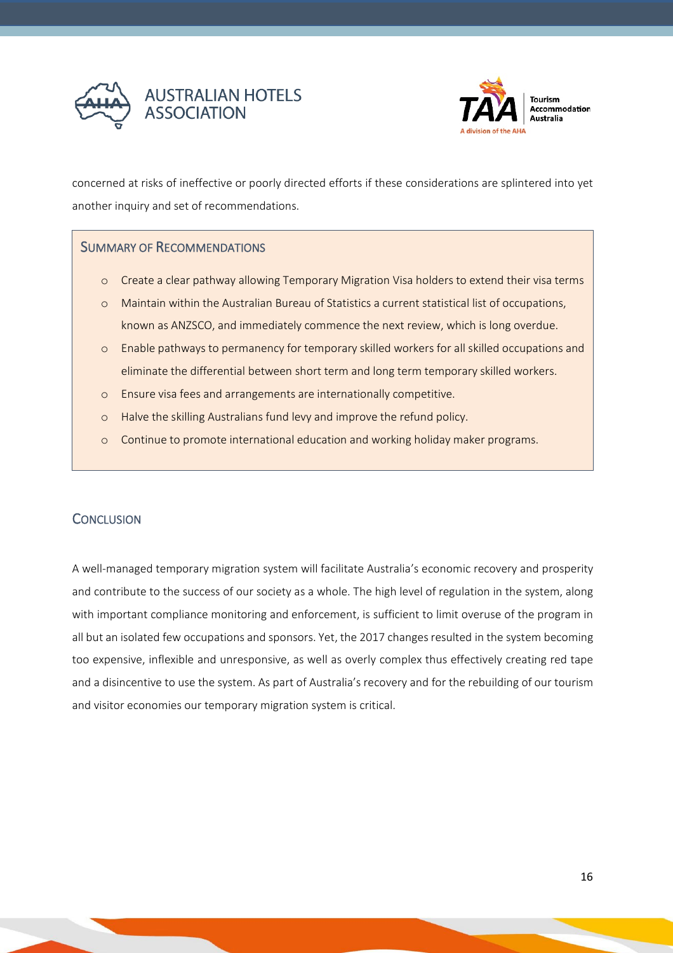



concerned at risks of ineffective or poorly directed efforts if these considerations are splintered into yet another inquiry and set of recommendations.

#### SUMMARY OF RECOMMENDATIONS

- o Create a clear pathway allowing Temporary Migration Visa holders to extend their visa terms
- o Maintain within the Australian Bureau of Statistics a current statistical list of occupations, known as ANZSCO, and immediately commence the next review, which is long overdue.
- o Enable pathways to permanency for temporary skilled workers for all skilled occupations and eliminate the differential between short term and long term temporary skilled workers.
- o Ensure visa fees and arrangements are internationally competitive.
- o Halve the skilling Australians fund levy and improve the refund policy.
- o Continue to promote international education and working holiday maker programs.

#### <span id="page-15-0"></span>**CONCLUSION**

A well-managed temporary migration system will facilitate Australia's economic recovery and prosperity and contribute to the success of our society as a whole. The high level of regulation in the system, along with important compliance monitoring and enforcement, is sufficient to limit overuse of the program in all but an isolated few occupations and sponsors. Yet, the 2017 changes resulted in the system becoming too expensive, inflexible and unresponsive, as well as overly complex thus effectively creating red tape and a disincentive to use the system. As part of Australia's recovery and for the rebuilding of our tourism and visitor economies our temporary migration system is critical.